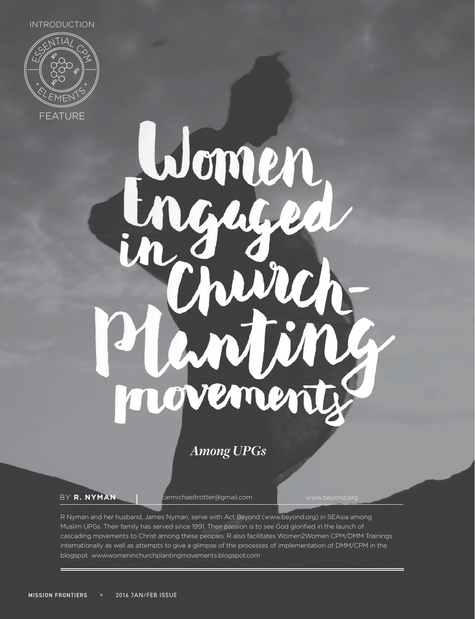INTRODUCTION



Womer  $\mathcal{L}$ h oveme

*Among UPGs*

BY **R. NYMAN** | carmichaeltrotter@gmail.com | www.beyond.org

R Nyman and her husband, James Nyman, serve with Act Beyond (www.beyond.org) in SEAsia among Muslim UPGs. Their family has served since 1991. Their passion is to see God glorified in the launch of cascading movements to Christ among these peoples. R also facilitates Women2Women CPM/DMM Trainings internationally as well as attempts to give a glimpse of the processes of implementation of DMM/CPM in the blogspot www.womeninchurchplantingmovements.blogspot.com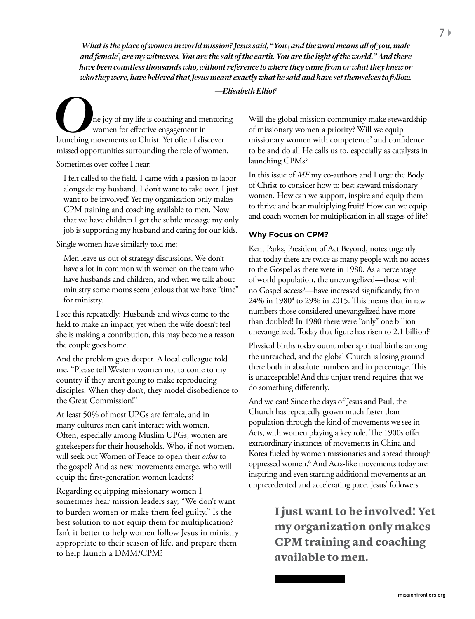*What is the place of women in world mission? Jesus said, "You [and the word means all of you, male and female] are my witnesses. You are the salt of the earth. You are the light of the world." And there have been countless thousands who, without reference to where they came from or what they knew or who they were, have believed that Jesus meant exactly what he said and have set themselves to follow.* 

*—Elisabeth Elliot1*

*O*ne joy of my life is coaching and mentoring launching movements to Christ. Yet often I discover women for effective engagement in missed opportunities surrounding the role of women.

Sometimes over coffee I hear:

I felt called to the field. I came with a passion to labor alongside my husband. I don't want to take over. I just want to be involved! Yet my organization only makes CPM training and coaching available to men. Now that we have children I get the subtle message my only job is supporting my husband and caring for our kids.

Single women have similarly told me:

Men leave us out of strategy discussions. We don't have a lot in common with women on the team who have husbands and children, and when we talk about ministry some moms seem jealous that we have "time" for ministry.

I see this repeatedly: Husbands and wives come to the field to make an impact, yet when the wife doesn't feel she is making a contribution, this may become a reason the couple goes home.

And the problem goes deeper. A local colleague told me, "Please tell Western women not to come to my country if they aren't going to make reproducing disciples. When they don't, they model disobedience to the Great Commission!"

At least 50% of most UPGs are female, and in many cultures men can't interact with women. Often, especially among Muslim UPGs, women are gatekeepers for their households. Who, if not women, will seek out Women of Peace to open their *oikos* to the gospel? And as new movements emerge, who will equip the first-generation women leaders?

Regarding equipping missionary women I sometimes hear mission leaders say, "We don't want to burden women or make them feel guilty." Is the best solution to not equip them for multiplication? Isn't it better to help women follow Jesus in ministry appropriate to their season of life, and prepare them to help launch a DMM/CPM?

Will the global mission community make stewardship of missionary women a priority? Will we equip missionary women with competence<sup>2</sup> and confidence to be and do all He calls us to, especially as catalysts in launching CPMs?

In this issue of *MF* my co-authors and I urge the Body of Christ to consider how to best steward missionary women. How can we support, inspire and equip them to thrive and bear multiplying fruit? How can we equip and coach women for multiplication in all stages of life?

## **Why Focus on CPM?**

Kent Parks, President of Act Beyond, notes urgently that today there are twice as many people with no access to the Gospel as there were in 1980. As a percentage of world population, the unevangelized—those with no Gospel access<sup>3</sup>—have increased significantly, from 24% in 19804 to 29% in 2015. This means that in raw numbers those considered unevangelized have more than doubled! In 1980 there were "only" one billion unevangelized. Today that figure has risen to 2.1 billion!<sup>5</sup>

Physical births today outnumber spiritual births among the unreached, and the global Church is losing ground there both in absolute numbers and in percentage. This is unacceptable! And this unjust trend requires that we do something differently.

And we can! Since the days of Jesus and Paul, the Church has repeatedly grown much faster than population through the kind of movements we see in Acts, with women playing a key role. The 1900s offer extraordinary instances of movements in China and Korea fueled by women missionaries and spread through oppressed women.6 And Acts-like movements today are inspiring and even starting additional movements at an unprecedented and accelerating pace. Jesus' followers

> I just want to be involved! Yet my organization only makes CPM training and coaching available to men.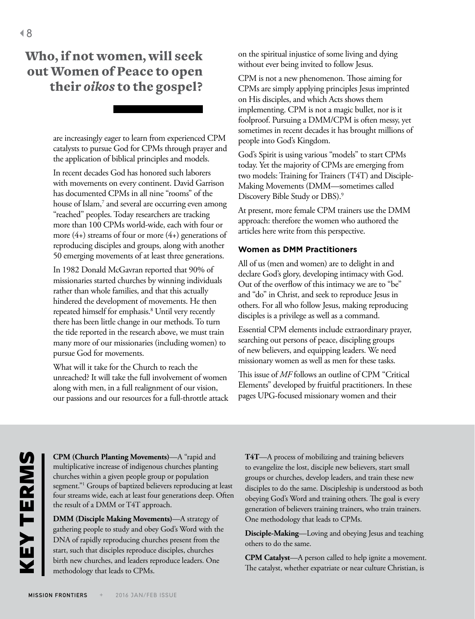## Who, if not women, will seek out Women of Peace to open their *oikos* to the gospel?

are increasingly eager to learn from experienced CPM catalysts to pursue God for CPMs through prayer and the application of biblical principles and models.

In recent decades God has honored such laborers with movements on every continent. David Garrison has documented CPMs in all nine "rooms" of the house of Islam,<sup>7</sup> and several are occurring even among "reached" peoples. Today researchers are tracking more than 100 CPMs world-wide, each with four or more  $(4+)$  streams of four or more  $(4+)$  generations of reproducing disciples and groups, along with another 50 emerging movements of at least three generations.

In 1982 Donald McGavran reported that 90% of missionaries started churches by winning individuals rather than whole families, and that this actually hindered the development of movements. He then repeated himself for emphasis.8 Until very recently there has been little change in our methods. To turn the tide reported in the research above, we must train many more of our missionaries (including women) to pursue God for movements.

What will it take for the Church to reach the unreached? It will take the full involvement of women along with men, in a full realignment of our vision, our passions and our resources for a full-throttle attack on the spiritual injustice of some living and dying without ever being invited to follow Jesus.

CPM is not a new phenomenon. Those aiming for CPMs are simply applying principles Jesus imprinted on His disciples, and which Acts shows them implementing. CPM is not a magic bullet, nor is it foolproof. Pursuing a DMM/CPM is often messy, yet sometimes in recent decades it has brought millions of people into God's Kingdom.

God's Spirit is using various "models" to start CPMs today. Yet the majority of CPMs are emerging from two models: Training for Trainers (T4T) and Disciple-Making Movements (DMM—sometimes called Discovery Bible Study or DBS).<sup>9</sup>

At present, more female CPM trainers use the DMM approach: therefore the women who authored the articles here write from this perspective.

## **Women as DMM Practitioners**

All of us (men and women) are to delight in and declare God's glory, developing intimacy with God. Out of the overflow of this intimacy we are to "be" and "do" in Christ, and seek to reproduce Jesus in others. For all who follow Jesus, making reproducing disciples is a privilege as well as a command.

Essential CPM elements include extraordinary prayer, searching out persons of peace, discipling groups of new believers, and equipping leaders. We need missionary women as well as men for these tasks.

This issue of *MF* follows an outline of CPM "Critical Elements" developed by fruitful practitioners. In these pages UPG-focused missionary women and their

**CPM (Church Planting Movements)**—A "rapid and multiplicative increase of indigenous churches planting churches within a given people group or population segment."1 Groups of baptized believers reproducing at least four streams wide, each at least four generations deep. Often the result of a DMM or T4T approach.

**DMM (Disciple Making Movements)**—A strategy of gathering people to study and obey God's Word with the DNA of rapidly reproducing churches present from the start, such that disciples reproduce disciples, churches birth new churches, and leaders reproduce leaders. One methodology that leads to CPMs.

**T4T**—A process of mobilizing and training believers to evangelize the lost, disciple new believers, start small groups or churches, develop leaders, and train these new disciples to do the same. Discipleship is understood as both obeying God's Word and training others. The goal is every generation of believers training trainers, who train trainers. One methodology that leads to CPMs.

**Disciple-Making**—Loving and obeying Jesus and teaching others to do the same.

**CPM Catalyst**—A person called to help ignite a movement. The catalyst, whether expatriate or near culture Christian, is

KEY TERMS

**KEYTERMS**